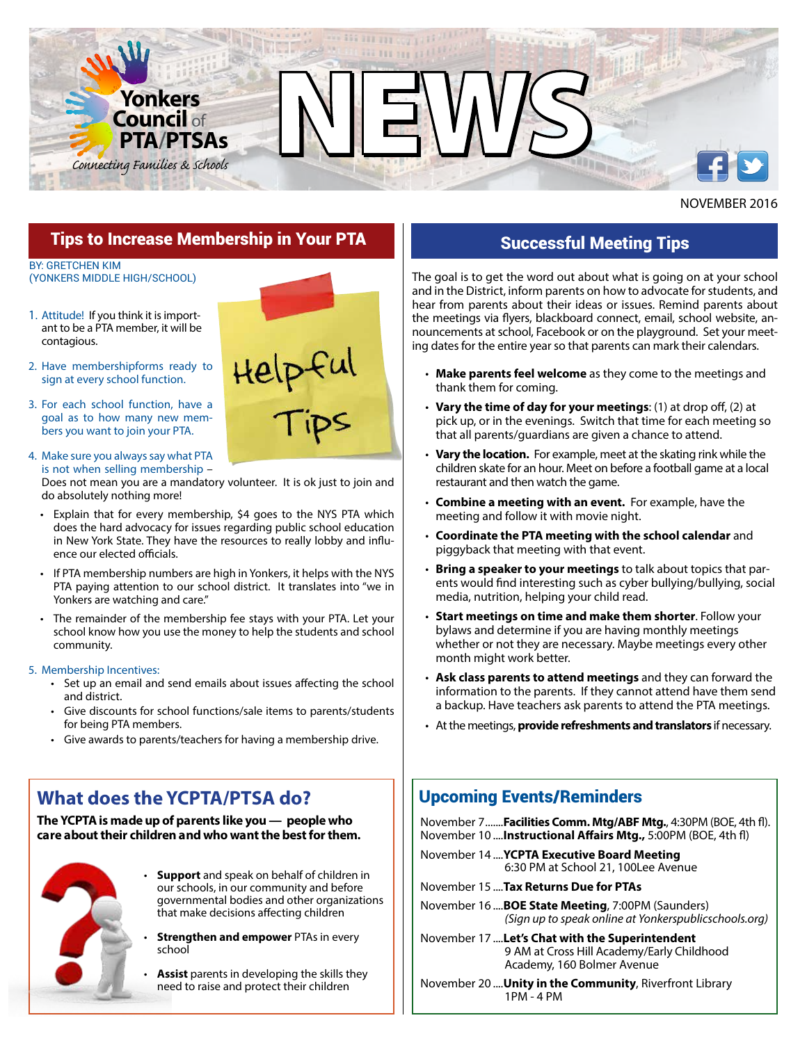

### NOVEMBER 2016

### Tips to Increase Membership in Your PTA

BY: GRETCHEN KIM (YONKERS MIDDLE HIGH/SCHOOL)

- 1. Attitude! If you think it is important to be a PTA member, it will be contagious.
- 2. Have membershipforms ready to sign at every school function.
- 3. For each school function, have a goal as to how many new members you want to join your PTA.

#### 4. Make sure you always say what PTA is not when selling membership –

Does not mean you are a mandatory volunteer. It is ok just to join and do absolutely nothing more!

- Explain that for every membership, \$4 goes to the NYS PTA which does the hard advocacy for issues regarding public school education in New York State. They have the resources to really lobby and influence our elected officials.
- If PTA membership numbers are high in Yonkers, it helps with the NYS PTA paying attention to our school district. It translates into "we in Yonkers are watching and care."
- The remainder of the membership fee stays with your PTA. Let your school know how you use the money to help the students and school community.

#### 5. Membership Incentives:

- Set up an email and send emails about issues affecting the school and district.
- Give discounts for school functions/sale items to parents/students for being PTA members.
- Give awards to parents/teachers for having a membership drive.

# **What does the YCPTA/PTSA do?**

*The YCPTA is made up of parents like you — people who care about their children and who want the best for them.*



- **Support** and speak on behalf of children in our schools, in our community and before governmental bodies and other organizations that make decisions affecting children
- **Strengthen and empower** PTAs in every school
- **Assist** parents in developing the skills they need to raise and protect their children



## Successful Meeting Tips

The goal is to get the word out about what is going on at your school and in the District, inform parents on how to advocate for students, and hear from parents about their ideas or issues. Remind parents about the meetings via flyers, blackboard connect, email, school website, announcements at school, Facebook or on the playground. Set your meeting dates for the entire year so that parents can mark their calendars.

- **Make parents feel welcome** as they come to the meetings and thank them for coming.
- **Vary the time of day for your meetings**: (1) at drop off, (2) at pick up, or in the evenings. Switch that time for each meeting so that all parents/guardians are given a chance to attend.
- **Vary the location.** For example, meet at the skating rink while the children skate for an hour. Meet on before a football game at a local restaurant and then watch the game.
- **Combine a meeting with an event.** For example, have the meeting and follow it with movie night.
- **Coordinate the PTA meeting with the school calendar** and piggyback that meeting with that event.
- **Bring a speaker to your meetings** to talk about topics that parents would find interesting such as cyber bullying/bullying, social media, nutrition, helping your child read.
- **Start meetings on time and make them shorter**. Follow your bylaws and determine if you are having monthly meetings whether or not they are necessary. Maybe meetings every other month might work better.
- **Ask class parents to attend meetings** and they can forward the information to the parents. If they cannot attend have them send a backup. Have teachers ask parents to attend the PTA meetings.
- At the meetings, **provide refreshments and translators** if necessary.

### Upcoming Events/Reminders

November 7 .......**Facilities Comm. Mtg/ABF Mtg.**, 4:30PM (BOE, 4th fl). November 10 ....**Instructional Affairs Mtg.,** 5:00PM (BOE, 4th fl)

- November 14 ....**YCPTA Executive Board Meeting** 6:30 PM at School 21, 100Lee Avenue
- November 15 ....**Tax Returns Due for PTAs**
- November 16 ....**BOE State Meeting**, 7:00PM (Saunders) *(Sign up to speak online at Yonkerspublicschools.org)*
- November 17 ....**Let's Chat with the Superintendent** 9 AM at Cross Hill Academy/Early Childhood Academy, 160 Bolmer Avenue

November 20 ....**Unity in the Community**, Riverfront Library 1PM - 4 PM